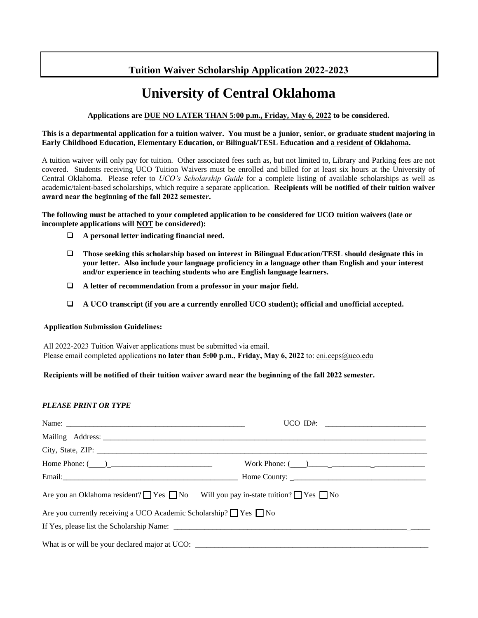# **Tuition Waiver Scholarship Application 2022-2023**

# **University of Central Oklahoma**

# **Applications are DUE NO LATER THAN 5:00 p.m., Friday, May 6, 2022 to be considered.**

#### **This is a departmental application for a tuition waiver. You must be a junior, senior, or graduate student majoring in Early Childhood Education, Elementary Education, or Bilingual/TESL Education and a resident of Oklahoma.**

A tuition waiver will only pay for tuition. Other associated fees such as, but not limited to, Library and Parking fees are not covered. Students receiving UCO Tuition Waivers must be enrolled and billed for at least six hours at the University of Central Oklahoma. Please refer to *UCO's Scholarship Guide* for a complete listing of available scholarships as well as academic/talent-based scholarships, which require a separate application. **Recipients will be notified of their tuition waiver award near the beginning of the fall 2022 semester.** 

**The following must be attached to your completed application to be considered for UCO tuition waivers (late or incomplete applications will NOT be considered):** 

- **A personal letter indicating financial need.**
- **Those seeking this scholarship based on interest in Bilingual Education/TESL should designate this in your letter. Also include your language proficiency in a language other than English and your interest and/or experience in teaching students who are English language learners.**
- **A letter of recommendation from a professor in your major field.**
- **A UCO transcript (if you are a currently enrolled UCO student); official and unofficial accepted.**

#### **Application Submission Guidelines:**

All 2022-2023 Tuition Waiver applications must be submitted via email. Please email completed applications **no later than 5:00 p.m., Friday, May 6, 2022** to: cni.ceps@uco.edu

# **Recipients will be notified of their tuition waiver award near the beginning of the fall 2022 semester.**

# *PLEASE PRINT OR TYPE*

|                                                                                                        | UCO ID#: $\frac{1}{2}$                                                            |  |  |  |  |
|--------------------------------------------------------------------------------------------------------|-----------------------------------------------------------------------------------|--|--|--|--|
|                                                                                                        |                                                                                   |  |  |  |  |
|                                                                                                        |                                                                                   |  |  |  |  |
| Home Phone: $\qquad \qquad$                                                                            | Work Phone: $\qquad \qquad$                                                       |  |  |  |  |
|                                                                                                        |                                                                                   |  |  |  |  |
| Are you an Oklahoma resident? $\Box$ Yes $\Box$ No Will you pay in-state tuition? $\Box$ Yes $\Box$ No |                                                                                   |  |  |  |  |
| Are you currently receiving a UCO Academic Scholarship? ■ Yes ■ No                                     |                                                                                   |  |  |  |  |
|                                                                                                        |                                                                                   |  |  |  |  |
|                                                                                                        | What is or will be your declared major at UCO: __________________________________ |  |  |  |  |